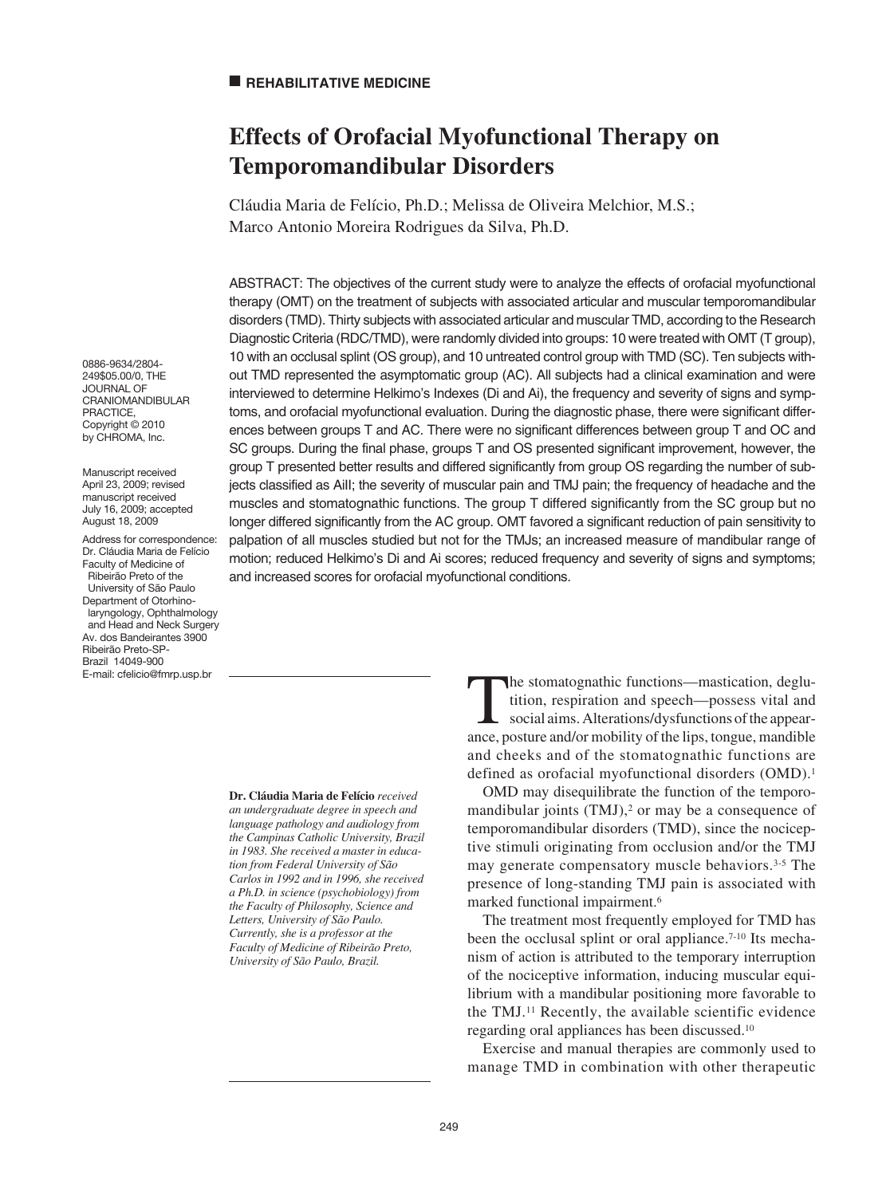# **Effects of Orofacial Myofunctional Therapy on Temporomandibular Disorders**

Cláudia Maria de Felício, Ph.D.; Melissa de Oliveira Melchior, M.S.; Marco Antonio Moreira Rodrigues da Silva, Ph.D.

ABSTRACT: The objectives of the current study were to analyze the effects of orofacial myofunctional therapy (OMT) on the treatment of subjects with associated articular and muscular temporomandibular disorders (TMD). Thirty subjects with associated articular and muscular TMD, according to the Research Diagnostic Criteria (RDC/TMD), were randomly divided into groups: 10 were treated with OMT (T group), 10 with an occlusal splint (OS group), and 10 untreated control group with TMD (SC). Ten subjects without TMD represented the asymptomatic group (AC). All subjects had a clinical examination and were interviewed to determine Helkimo's Indexes (Di and Ai), the frequency and severity of signs and symptoms, and orofacial myofunctional evaluation. During the diagnostic phase, there were significant differences between groups T and AC. There were no significant differences between group T and OC and SC groups. During the final phase, groups T and OS presented significant improvement, however, the group T presented better results and differed significantly from group OS regarding the number of subjects classified as AiII; the severity of muscular pain and TMJ pain; the frequency of headache and the muscles and stomatognathic functions. The group T differed significantly from the SC group but no longer differed significantly from the AC group. OMT favored a significant reduction of pain sensitivity to palpation of all muscles studied but not for the TMJs; an increased measure of mandibular range of motion; reduced Helkimo's Di and Ai scores; reduced frequency and severity of signs and symptoms; and increased scores for orofacial myofunctional conditions.

0886-9634/2804- 249\$05.00/0, THE JOURNAL OF CRANIOMANDIBULAR PRACTICE, Copyright © 2010 by CHROMA, Inc.

Manuscript received April 23, 2009; revised manuscript received July 16, 2009; accepted August 18, 2009

Address for correspondence: Dr. Cláudia Maria de Felício Faculty of Medicine of Ribeirão Preto of the University of São Paulo Department of Otorhinolaryngology, Ophthalmology and Head and Neck Surgery Av. dos Bandeirantes 3900 Ribeirão Preto-SP-Brazil 14049-900 E-mail: cfelicio@fmrp.usp.br

> **Dr. Cláudia Maria de Felício** *received an undergraduate degree in speech and language pathology and audiology from the Campinas Catholic University, Brazil in 1983. She received a master in education from Federal University of São Carlos in 1992 and in 1996, she received a Ph.D. in science (psychobiology) from the Faculty of Philosophy, Science and Letters, University of São Paulo. Currently, she is a professor at the Faculty of Medicine of Ribeirão Preto, University of São Paulo, Brazil.*

The stomatognathic functions—mastication, deglutition, respiration and speech—possess vital and social aims. Alterations/dysfunctions of the appearance, posture and/or mobility of the lips, tongue, mandible and cheeks and of the stomatognathic functions are defined as orofacial myofunctional disorders (OMD).<sup>1</sup>

OMD may disequilibrate the function of the temporomandibular joints  $(TMJ)<sup>2</sup>$  or may be a consequence of temporomandibular disorders (TMD), since the nociceptive stimuli originating from occlusion and/or the TMJ may generate compensatory muscle behaviors.3-5 The presence of long-standing TMJ pain is associated with marked functional impairment.6

The treatment most frequently employed for TMD has been the occlusal splint or oral appliance.<sup>7-10</sup> Its mechanism of action is attributed to the temporary interruption of the nociceptive information, inducing muscular equilibrium with a mandibular positioning more favorable to the TMJ.11 Recently, the available scientific evidence regarding oral appliances has been discussed.10

Exercise and manual therapies are commonly used to manage TMD in combination with other therapeutic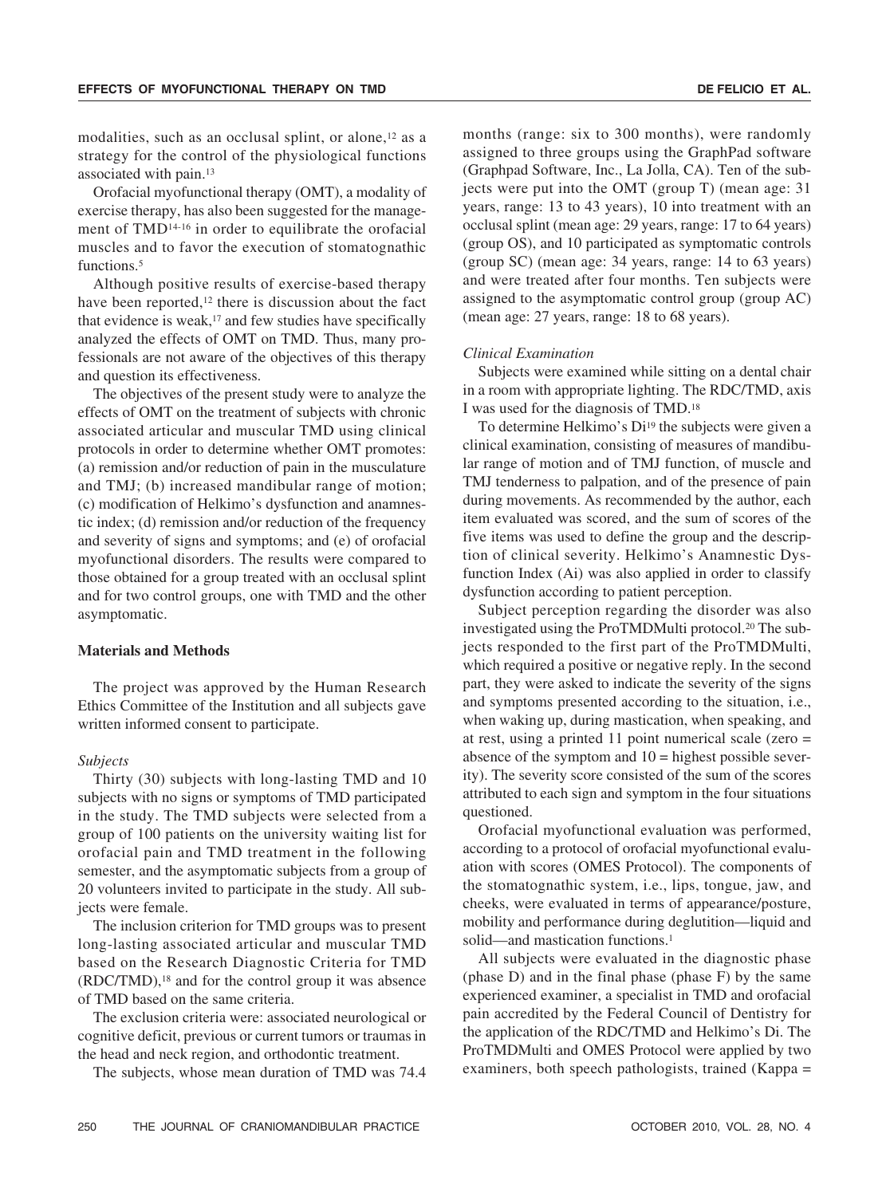modalities, such as an occlusal splint, or alone,<sup>12</sup> as a strategy for the control of the physiological functions associated with pain.13

Orofacial myofunctional therapy (OMT), a modality of exercise therapy, has also been suggested for the management of TMD14-16 in order to equilibrate the orofacial muscles and to favor the execution of stomatognathic functions.<sup>5</sup>

Although positive results of exercise-based therapy have been reported,<sup>12</sup> there is discussion about the fact that evidence is weak, $17$  and few studies have specifically analyzed the effects of OMT on TMD. Thus, many professionals are not aware of the objectives of this therapy and question its effectiveness.

The objectives of the present study were to analyze the effects of OMT on the treatment of subjects with chronic associated articular and muscular TMD using clinical protocols in order to determine whether OMT promotes: (a) remission and/or reduction of pain in the musculature and TMJ; (b) increased mandibular range of motion; (c) modification of Helkimo's dysfunction and anamnestic index; (d) remission and/or reduction of the frequency and severity of signs and symptoms; and (e) of orofacial myofunctional disorders. The results were compared to those obtained for a group treated with an occlusal splint and for two control groups, one with TMD and the other asymptomatic.

## **Materials and Methods**

The project was approved by the Human Research Ethics Committee of the Institution and all subjects gave written informed consent to participate.

#### *Subjects*

Thirty (30) subjects with long-lasting TMD and 10 subjects with no signs or symptoms of TMD participated in the study. The TMD subjects were selected from a group of 100 patients on the university waiting list for orofacial pain and TMD treatment in the following semester, and the asymptomatic subjects from a group of 20 volunteers invited to participate in the study. All subjects were female.

The inclusion criterion for TMD groups was to present long-lasting associated articular and muscular TMD based on the Research Diagnostic Criteria for TMD (RDC/TMD),18 and for the control group it was absence of TMD based on the same criteria.

The exclusion criteria were: associated neurological or cognitive deficit, previous or current tumors or traumas in the head and neck region, and orthodontic treatment.

The subjects, whose mean duration of TMD was 74.4

months (range: six to 300 months), were randomly assigned to three groups using the GraphPad software (Graphpad Software, Inc., La Jolla, CA). Ten of the subjects were put into the OMT (group T) (mean age: 31 years, range: 13 to 43 years), 10 into treatment with an occlusal splint (mean age: 29 years, range: 17 to 64 years) (group OS), and 10 participated as symptomatic controls (group SC) (mean age: 34 years, range: 14 to 63 years) and were treated after four months. Ten subjects were assigned to the asymptomatic control group (group AC) (mean age: 27 years, range: 18 to 68 years).

#### *Clinical Examination*

Subjects were examined while sitting on a dental chair in a room with appropriate lighting. The RDC/TMD, axis I was used for the diagnosis of TMD.18

To determine Helkimo's Di<sup>19</sup> the subjects were given a clinical examination, consisting of measures of mandibular range of motion and of TMJ function, of muscle and TMJ tenderness to palpation, and of the presence of pain during movements. As recommended by the author, each item evaluated was scored, and the sum of scores of the five items was used to define the group and the description of clinical severity. Helkimo's Anamnestic Dysfunction Index (Ai) was also applied in order to classify dysfunction according to patient perception.

Subject perception regarding the disorder was also investigated using the ProTMDMulti protocol.20 The subjects responded to the first part of the ProTMDMulti, which required a positive or negative reply. In the second part, they were asked to indicate the severity of the signs and symptoms presented according to the situation, i.e., when waking up, during mastication, when speaking, and at rest, using a printed 11 point numerical scale (zero = absence of the symptom and  $10 =$  highest possible severity). The severity score consisted of the sum of the scores attributed to each sign and symptom in the four situations questioned.

Orofacial myofunctional evaluation was performed, according to a protocol of orofacial myofunctional evaluation with scores (OMES Protocol). The components of the stomatognathic system, i.e., lips, tongue, jaw, and cheeks, were evaluated in terms of appearance/posture, mobility and performance during deglutition—liquid and solid—and mastication functions.<sup>1</sup>

All subjects were evaluated in the diagnostic phase (phase D) and in the final phase (phase F) by the same experienced examiner, a specialist in TMD and orofacial pain accredited by the Federal Council of Dentistry for the application of the RDC/TMD and Helkimo's Di. The ProTMDMulti and OMES Protocol were applied by two examiners, both speech pathologists, trained (Kappa =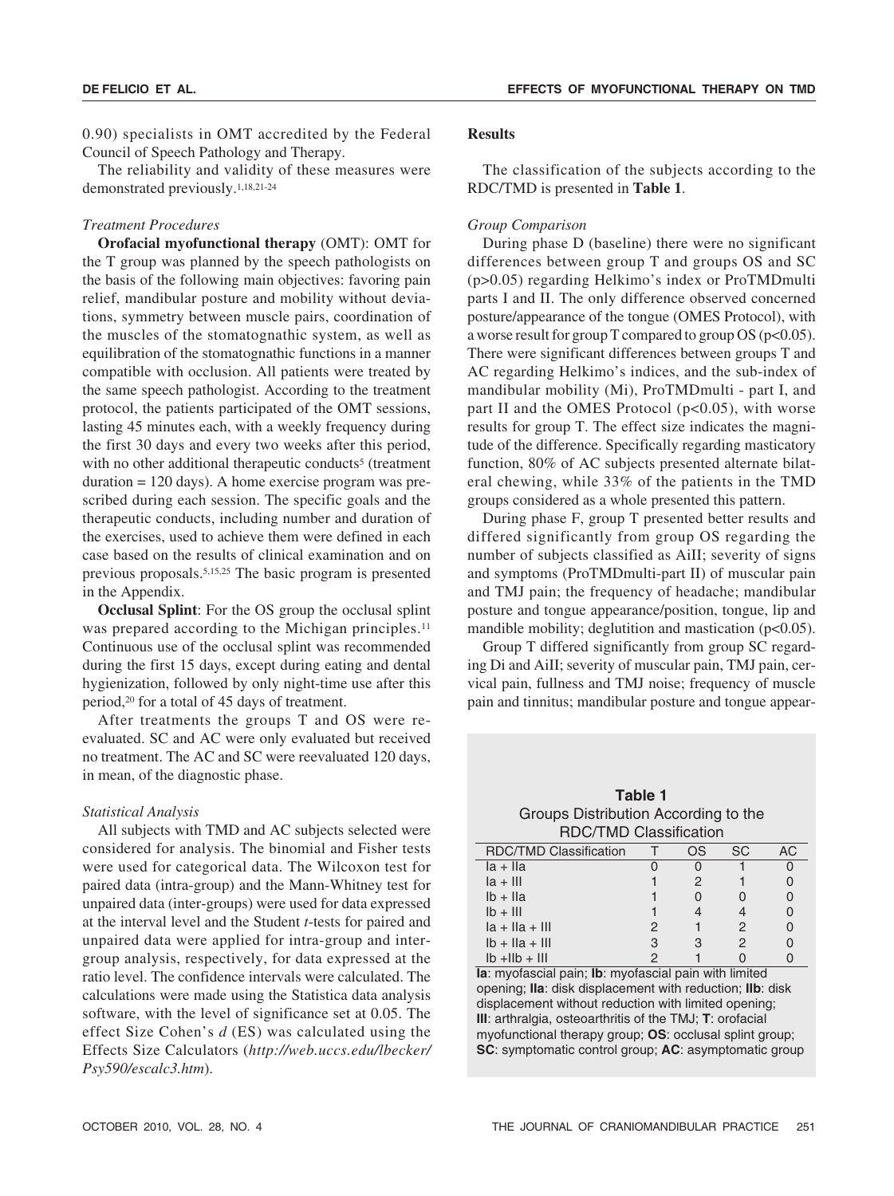0.90) specialists in OMT accredited by the Federal Council of Speech Pathology and Therapy.

The reliability and validity of these measures were demonstrated previously.1,18,21-24

## *Treatment Procedures*

**Orofacial myofunctional therapy** (OMT): OMT for the T group was planned by the speech pathologists on the basis of the following main objectives: favoring pain relief, mandibular posture and mobility without deviations, symmetry between muscle pairs, coordination of the muscles of the stomatognathic system, as well as equilibration of the stomatognathic functions in a manner compatible with occlusion. All patients were treated by the same speech pathologist. According to the treatment protocol, the patients participated of the OMT sessions, lasting 45 minutes each, with a weekly frequency during the first 30 days and every two weeks after this period, with no other additional therapeutic conducts<sup>5</sup> (treatment  $duration = 120 \text{ days}$ . A home exercise program was prescribed during each session. The specific goals and the therapeutic conducts, including number and duration of the exercises, used to achieve them were defined in each case based on the results of clinical examination and on previous proposals.5,15,25 The basic program is presented in the Appendix.

**Occlusal Splint**: For the OS group the occlusal splint was prepared according to the Michigan principles.<sup>11</sup> Continuous use of the occlusal splint was recommended during the first 15 days, except during eating and dental hygienization, followed by only night-time use after this period,20 for a total of 45 days of treatment.

After treatments the groups T and OS were reevaluated. SC and AC were only evaluated but received no treatment. The AC and SC were reevaluated 120 days, in mean, of the diagnostic phase.

# *Statistical Analysis*

All subjects with TMD and AC subjects selected were considered for analysis. The binomial and Fisher tests were used for categorical data. The Wilcoxon test for paired data (intra-group) and the Mann-Whitney test for unpaired data (inter-groups) were used for data expressed at the interval level and the Student *t*-tests for paired and unpaired data were applied for intra-group and intergroup analysis, respectively, for data expressed at the ratio level. The confidence intervals were calculated. The calculations were made using the Statistica data analysis software, with the level of significance set at 0.05. The effect Size Cohen's *d* (ES) was calculated using the Effects Size Calculators (*http://web.uccs.edu/lbecker/ Psy590/escalc3.htm*).

#### **Results**

The classification of the subjects according to the RDC/TMD is presented in **Table 1**.

## *Group Comparison*

During phase D (baseline) there were no significant differences between group T and groups OS and SC (p>0.05) regarding Helkimo's index or ProTMDmulti parts I and II. The only difference observed concerned posture/appearance of the tongue (OMES Protocol), with a worse result for group T compared to group OS (p<0.05). There were significant differences between groups T and AC regarding Helkimo's indices, and the sub-index of mandibular mobility (Mi), ProTMDmulti - part I, and part II and the OMES Protocol (p<0.05), with worse results for group T. The effect size indicates the magnitude of the difference. Specifically regarding masticatory function, 80% of AC subjects presented alternate bilateral chewing, while 33% of the patients in the TMD groups considered as a whole presented this pattern.

During phase F, group T presented better results and differed significantly from group OS regarding the number of subjects classified as AiII; severity of signs and symptoms (ProTMDmulti-part II) of muscular pain and TMJ pain; the frequency of headache; mandibular posture and tongue appearance/position, tongue, lip and mandible mobility; deglutition and mastication (p<0.05).

Group T differed significantly from group SC regarding Di and AiII; severity of muscular pain, TMJ pain, cervical pain, fullness and TMJ noise; frequency of muscle pain and tinnitus; mandibular posture and tongue appear-

**Table 1** Groups Distribution According to the RDC/TMD Classification

| <b>RDC/TMD Classification</b> |   | 7S | SC. | AC. |
|-------------------------------|---|----|-----|-----|
| $ a + I $                     |   |    |     |     |
| $ a +    $                    |   |    |     |     |
| $Ib + Ila$                    |   |    |     |     |
| $Ib + III$                    |   |    |     |     |
| $ a +   a +    $              | 2 |    | 2   |     |
| $Ib + Ila + III$              | 3 |    | 2   |     |
| $Ib + IIB + III$              |   |    |     |     |

**Ia**: myofascial pain; **Ib**: myofascial pain with limited opening; **IIa**: disk displacement with reduction; **IIb**: disk displacement without reduction with limited opening; **III**: arthralgia, osteoarthritis of the TMJ; **T**: orofacial myofunctional therapy group; **OS**: occlusal splint group; **SC**: symptomatic control group; **AC**: asymptomatic group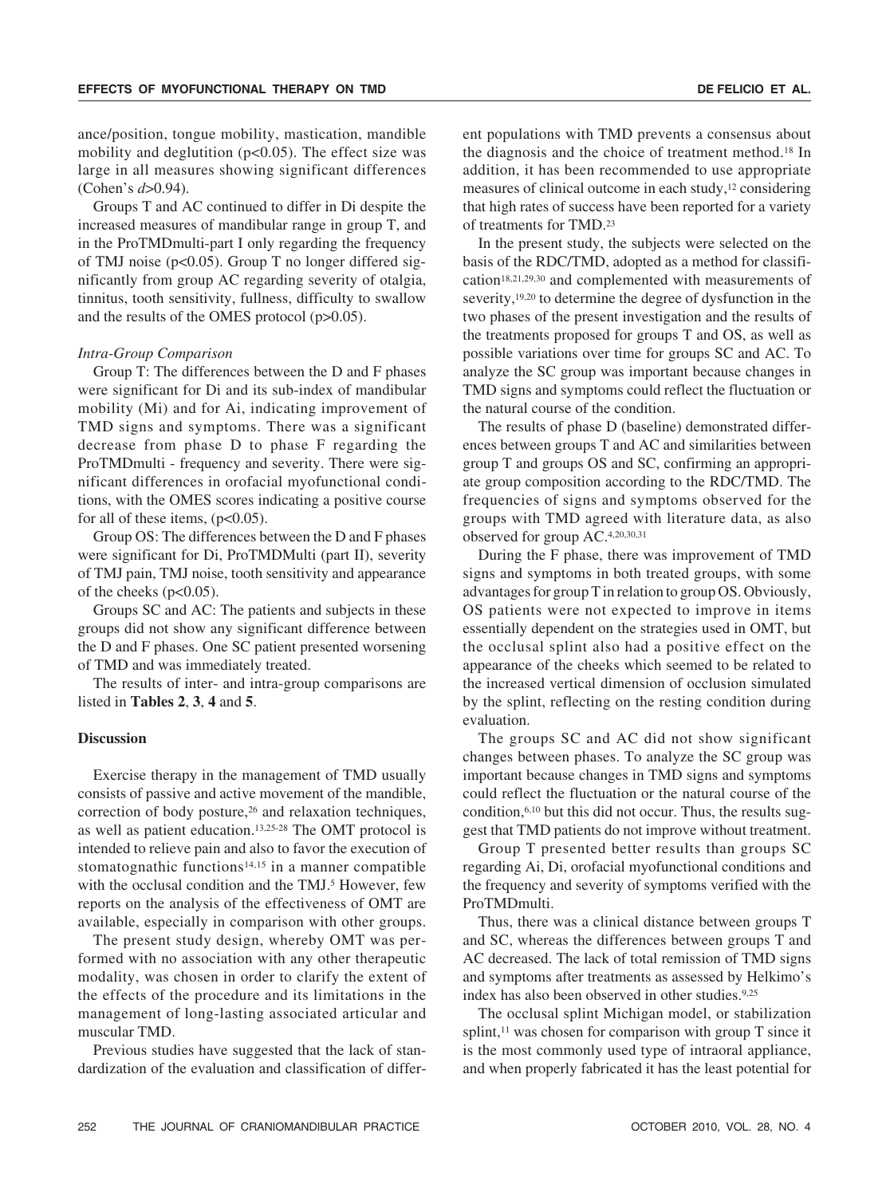ance/position, tongue mobility, mastication, mandible mobility and deglutition (p<0.05). The effect size was large in all measures showing significant differences (Cohen's *d*>0.94).

Groups T and AC continued to differ in Di despite the increased measures of mandibular range in group T, and in the ProTMDmulti-part I only regarding the frequency of TMJ noise ( $p<0.05$ ). Group T no longer differed significantly from group AC regarding severity of otalgia, tinnitus, tooth sensitivity, fullness, difficulty to swallow and the results of the OMES protocol (p>0.05).

#### *Intra-Group Comparison*

Group T: The differences between the D and F phases were significant for Di and its sub-index of mandibular mobility (Mi) and for Ai, indicating improvement of TMD signs and symptoms. There was a significant decrease from phase D to phase F regarding the ProTMDmulti - frequency and severity. There were significant differences in orofacial myofunctional conditions, with the OMES scores indicating a positive course for all of these items,  $(p<0.05)$ .

Group OS: The differences between the D and F phases were significant for Di, ProTMDMulti (part II), severity of TMJ pain, TMJ noise, tooth sensitivity and appearance of the cheeks  $(p<0.05)$ .

Groups SC and AC: The patients and subjects in these groups did not show any significant difference between the D and F phases. One SC patient presented worsening of TMD and was immediately treated.

The results of inter- and intra-group comparisons are listed in **Tables 2**, **3**, **4** and **5**.

### **Discussion**

Exercise therapy in the management of TMD usually consists of passive and active movement of the mandible, correction of body posture,<sup>26</sup> and relaxation techniques, as well as patient education.13,25-28 The OMT protocol is intended to relieve pain and also to favor the execution of stomatognathic functions<sup>14,15</sup> in a manner compatible with the occlusal condition and the TMJ.<sup>5</sup> However, few reports on the analysis of the effectiveness of OMT are available, especially in comparison with other groups.

The present study design, whereby OMT was performed with no association with any other therapeutic modality, was chosen in order to clarify the extent of the effects of the procedure and its limitations in the management of long-lasting associated articular and muscular TMD.

Previous studies have suggested that the lack of standardization of the evaluation and classification of different populations with TMD prevents a consensus about the diagnosis and the choice of treatment method.18 In addition, it has been recommended to use appropriate measures of clinical outcome in each study,<sup>12</sup> considering that high rates of success have been reported for a variety of treatments for TMD.23

In the present study, the subjects were selected on the basis of the RDC/TMD, adopted as a method for classification18,21,29,30 and complemented with measurements of severity,<sup>19,20</sup> to determine the degree of dysfunction in the two phases of the present investigation and the results of the treatments proposed for groups T and OS, as well as possible variations over time for groups SC and AC. To analyze the SC group was important because changes in TMD signs and symptoms could reflect the fluctuation or the natural course of the condition.

The results of phase D (baseline) demonstrated differences between groups T and AC and similarities between group T and groups OS and SC, confirming an appropriate group composition according to the RDC/TMD. The frequencies of signs and symptoms observed for the groups with TMD agreed with literature data, as also observed for group AC.4,20,30,31

During the F phase, there was improvement of TMD signs and symptoms in both treated groups, with some advantages for group T in relation to group OS. Obviously, OS patients were not expected to improve in items essentially dependent on the strategies used in OMT, but the occlusal splint also had a positive effect on the appearance of the cheeks which seemed to be related to the increased vertical dimension of occlusion simulated by the splint, reflecting on the resting condition during evaluation.

The groups SC and AC did not show significant changes between phases. To analyze the SC group was important because changes in TMD signs and symptoms could reflect the fluctuation or the natural course of the condition,6,10 but this did not occur. Thus, the results suggest that TMD patients do not improve without treatment.

Group T presented better results than groups SC regarding Ai, Di, orofacial myofunctional conditions and the frequency and severity of symptoms verified with the ProTMDmulti.

Thus, there was a clinical distance between groups T and SC, whereas the differences between groups T and AC decreased. The lack of total remission of TMD signs and symptoms after treatments as assessed by Helkimo's index has also been observed in other studies.9,25

The occlusal splint Michigan model, or stabilization splint, $11$  was chosen for comparison with group T since it is the most commonly used type of intraoral appliance, and when properly fabricated it has the least potential for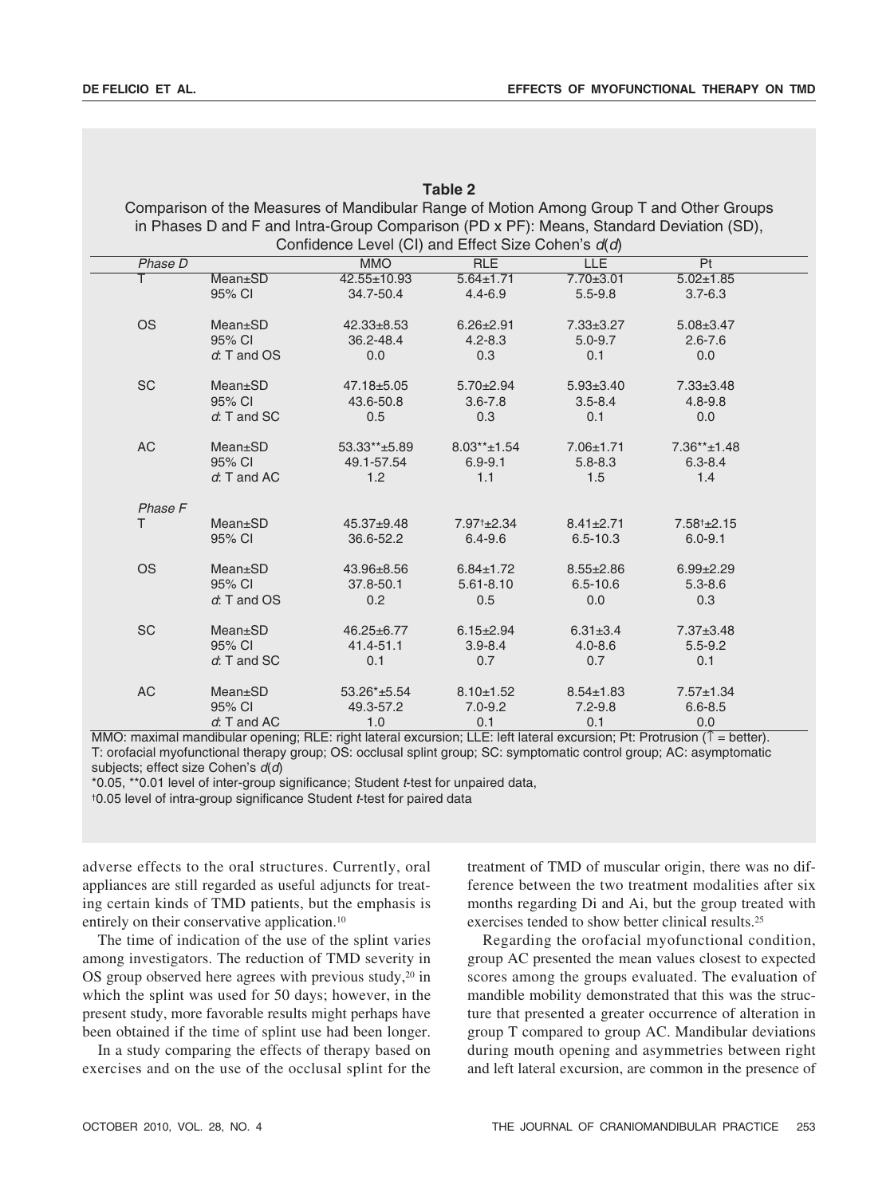|           |                 |                                                                                         | <b>Table 2</b>          |                 |                        |
|-----------|-----------------|-----------------------------------------------------------------------------------------|-------------------------|-----------------|------------------------|
|           |                 | Comparison of the Measures of Mandibular Range of Motion Among Group T and Other Groups |                         |                 |                        |
|           |                 | in Phases D and F and Intra-Group Comparison (PD x PF): Means, Standard Deviation (SD), |                         |                 |                        |
|           |                 | Confidence Level (CI) and Effect Size Cohen's $d(d)$                                    |                         |                 |                        |
| Phase D   |                 | <b>MMO</b>                                                                              | <b>RLE</b>              | <b>LLE</b>      | Pt                     |
| т         | <b>Mean</b> ±SD | 42.55±10.93                                                                             | $5.64 \pm 1.71$         | $7.70 \pm 3.01$ | $5.02 \pm 1.85$        |
|           | 95% CI          | 34.7-50.4                                                                               | $4.4 - 6.9$             | $5.5 - 9.8$     | $3.7 - 6.3$            |
| <b>OS</b> | Mean±SD         | $42.33 + 8.53$                                                                          | $6.26 \pm 2.91$         | $7.33 \pm 3.27$ | $5.08 \pm 3.47$        |
|           | 95% CI          | 36.2-48.4                                                                               | $4.2 - 8.3$             | $5.0 - 9.7$     | $2.6 - 7.6$            |
|           | $d$ : T and OS  | 0.0                                                                                     | 0.3                     | 0.1             | 0.0                    |
| <b>SC</b> | Mean±SD         | 47.18±5.05                                                                              | $5.70 \pm 2.94$         | $5.93 \pm 3.40$ | $7.33 \pm 3.48$        |
|           | 95% CI          | 43.6-50.8                                                                               | $3.6 - 7.8$             | $3.5 - 8.4$     | $4.8 - 9.8$            |
|           | $d$ : T and SC  | 0.5                                                                                     | 0.3                     | 0.1             | 0.0                    |
| AC        | Mean±SD         | 53.33**±5.89                                                                            | $8.03** \pm 1.54$       | $7.06 \pm 1.71$ | $7.36**+1.48$          |
|           | 95% CI          | 49.1-57.54                                                                              | $6.9 - 9.1$             | $5.8 - 8.3$     | $6.3 - 8.4$            |
|           | $d$ : T and AC  | 1.2                                                                                     | 1.1                     | 1.5             | 1.4                    |
| Phase F   |                 |                                                                                         |                         |                 |                        |
| T.        | Mean±SD         | $45.37 + 9.48$                                                                          | 7.97 <sup>+</sup> ±2.34 | $8.41 \pm 2.71$ | $7.58^{\dagger}$ ±2.15 |
|           | 95% CI          | 36.6-52.2                                                                               | $6.4 - 9.6$             | $6.5 - 10.3$    | $6.0 - 9.1$            |
| <b>OS</b> | Mean±SD         | 43.96±8.56                                                                              | $6.84 \pm 1.72$         | $8.55 \pm 2.86$ | $6.99 \pm 2.29$        |
|           | 95% CI          | 37.8-50.1                                                                               | $5.61 - 8.10$           | $6.5 - 10.6$    | $5.3 - 8.6$            |
|           | d: T and OS     | 0.2                                                                                     | 0.5                     | 0.0             | 0.3                    |
| <b>SC</b> | <b>Mean</b> ±SD | $46.25 \pm 6.77$                                                                        | $6.15 \pm 2.94$         | $6.31 \pm 3.4$  | $7.37 \pm 3.48$        |
|           | 95% CI          | 41.4-51.1                                                                               | $3.9 - 8.4$             | $4.0 - 8.6$     | $5.5 - 9.2$            |
|           | $d$ : T and SC  | 0.1                                                                                     | 0.7                     | 0.7             | 0.1                    |
| <b>AC</b> | <b>Mean</b> ±SD | 53.26*±5.54                                                                             | $8.10 \pm 1.52$         | $8.54 \pm 1.83$ | $7.57 \pm 1.34$        |
|           | 95% CI          | 49.3-57.2                                                                               | $7.0 - 9.2$             | $7.2 - 9.8$     | $6.6 - 8.5$            |
|           | $d$ : T and AC  | 1.0                                                                                     | 0.1                     | 0.1             | 0.0                    |

## MMO: maximal mandibular opening; RLE: right lateral excursion; LLE: left lateral excursion; Pt: Protrusion (↑ = better). T: orofacial myofunctional therapy group; OS: occlusal splint group; SC: symptomatic control group; AC: asymptomatic subjects; effect size Cohen's  $d(d)$

\*0.05, \*\*0.01 level of inter-group significance; Student <sup>t</sup>-test for unpaired data, †0.05 level of intra-group significance Student t-test for paired data

adverse effects to the oral structures. Currently, oral appliances are still regarded as useful adjuncts for treating certain kinds of TMD patients, but the emphasis is entirely on their conservative application.10

The time of indication of the use of the splint varies among investigators. The reduction of TMD severity in OS group observed here agrees with previous study,<sup>20</sup> in which the splint was used for 50 days; however, in the present study, more favorable results might perhaps have been obtained if the time of splint use had been longer.

In a study comparing the effects of therapy based on exercises and on the use of the occlusal splint for the treatment of TMD of muscular origin, there was no difference between the two treatment modalities after six months regarding Di and Ai, but the group treated with exercises tended to show better clinical results.25

Regarding the orofacial myofunctional condition, group AC presented the mean values closest to expected scores among the groups evaluated. The evaluation of mandible mobility demonstrated that this was the structure that presented a greater occurrence of alteration in group T compared to group AC. Mandibular deviations during mouth opening and asymmetries between right and left lateral excursion, are common in the presence of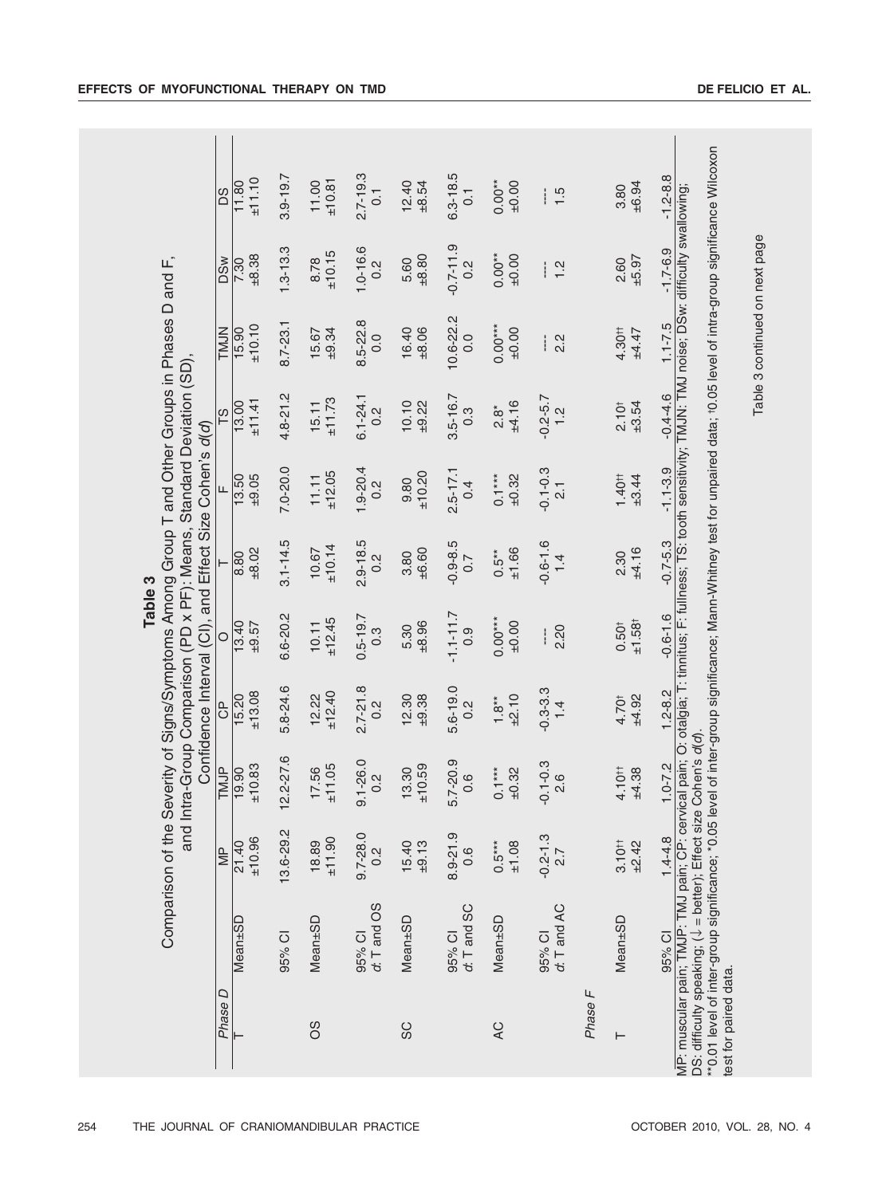|                                                                                                                                                                                                             | D <sub>S</sub>   | ±11.10<br>11.80  | $3.9 - 19.7$ | ±10.81<br>11.00 | $2.7 - 19.3$<br>$\overline{C}$    | 12.40<br>±8.54  | $3.3 - 18.5$<br>$\overline{0}$   | $0.00**$<br>±0.00      | $\frac{15}{1}$                   |         | ±6.94<br>3.80                           | $-1.2 - 8.8$                                                                                                                                                                                                                                                                                                                                                                                               |
|-------------------------------------------------------------------------------------------------------------------------------------------------------------------------------------------------------------|------------------|------------------|--------------|-----------------|-----------------------------------|-----------------|----------------------------------|------------------------|----------------------------------|---------|-----------------------------------------|------------------------------------------------------------------------------------------------------------------------------------------------------------------------------------------------------------------------------------------------------------------------------------------------------------------------------------------------------------------------------------------------------------|
|                                                                                                                                                                                                             | <b>DSW</b>       | ±8.38<br>7.30    | $3 - 13.3$   | ±10.15<br>8.78  | $1.0 - 16.6$<br>$\overline{0}$ .2 | ±8.80<br>5.60   | $-0.7 - 1.9$<br>0.2              | $0.00**$<br>±0.00      | $\frac{2}{1}$                    |         | $-5.97$<br>2.60                         | $-1.7 - 6.9$                                                                                                                                                                                                                                                                                                                                                                                               |
|                                                                                                                                                                                                             | <b>TMJN</b>      | ±10.10<br>15.90  | $8.7 - 23.1$ | ±9.34<br>15.67  | 8.5-22.8<br>0.0                   | 16.40<br>±8.06  | 10.6-22.2<br>0.0                 | $0.00***$<br>±0.00     | 2.2<br>i                         |         | 4.30#<br>$+4.47$                        | Table 3 continued on next page<br>$1.1 - 7.5$                                                                                                                                                                                                                                                                                                                                                              |
|                                                                                                                                                                                                             | $\frac{8}{10}$   | ±11.41<br>13.00  | 4.8-21.2     | ±11.73<br>15.11 | $6.1 - 24.1$<br>0.2               | 10.10<br>±9.22  | $3.5 - 16.7$<br>$0.\overline{3}$ | ±4.16<br>$\frac{8}{2}$ | $-5.7$<br>$\frac{2}{1}$          |         | ±3.54<br>2.10 <sup>†</sup>              | $-0.4 - 4.6$                                                                                                                                                                                                                                                                                                                                                                                               |
|                                                                                                                                                                                                             | Щ                | 13.50<br>±9.05   | $7.0 - 20.0$ | ±12.05<br>11.11 | $1.9 - 20.4$<br>$\overline{0}$ .2 | ±10.20<br>9.80  | $2.5 - 17.1$<br>0.4              | $0.1***$<br>±0.32      | $-0.1 - 0.3$<br>$\overline{2}$ . |         | $1.40 +$<br>±3.44                       | $-1.1 - 3.9$                                                                                                                                                                                                                                                                                                                                                                                               |
| Table 3                                                                                                                                                                                                     |                  | ±8.02<br>8.80    | $3.1 - 14.5$ | ±10.14<br>10.67 | $2.9 - 18.5$<br>$\overline{0}$ .2 | ±6.60<br>3.80   | $-0.9 - 8.5$<br>0.7              | ±1.66<br>$0.5**$       | $0.6 - 1.6$<br>1.4               |         | ±4.16<br>2.30                           | $-0.7 - 5.3$                                                                                                                                                                                                                                                                                                                                                                                               |
|                                                                                                                                                                                                             | $\circ$          | 13.40<br>$-9.57$ | $6.6 - 20.2$ | ±12.45<br>10.11 | $0.5 - 19.7$<br>$0.\overline{3}$  | ±8.96<br>5.30   | $-1.1 - 11.7$<br>0.9             | $0.00***$<br>±0.00     | 2.20<br>I                        |         | ±1.58 <sup>†</sup><br>0.50 <sup>†</sup> | $-0.6 - 1.6$                                                                                                                                                                                                                                                                                                                                                                                               |
| Severity of Signs/Symptoms Among Group T and Other Groups in Phases D and F,<br>Intra-Group Comparison (PD x PF): Means, Standard Deviation (SD),<br>Confidence Interval (CI), and Effect Size Cohen's d(d) | <b>B</b>         | ±13.08<br>15.20  | 5.8-24.6     | ±12.40<br>12.22 | $2.7 - 21.8$<br>$\frac{2}{3}$     | 12.30<br>±9.38  | 5.6-19.0<br>0.2                  | ±2.10<br>$1.8**$       | $-0.3 - 3.3$<br>$\frac{1}{4}$    |         | ±4.92<br>4.70 <sup>t</sup>              | $1.2 - 8.2$                                                                                                                                                                                                                                                                                                                                                                                                |
|                                                                                                                                                                                                             | TMJP             | ±10.83<br>19.90  | 2.2-27.6     | ±11.05<br>17.56 | $9.1 - 26.0$<br>$\frac{2}{3}$     | ±10.59<br>13.30 | $5.7 - 20.9$<br>0.6              | $0.1***$<br>±0.32      | $-0.1 - 0.3$<br>$\frac{8}{2}$    |         | 4.10 <sup>†</sup><br>±4.38              | e Cohen's d(d).<br>$1.0 - 7.2$                                                                                                                                                                                                                                                                                                                                                                             |
| Comparison of the<br>and                                                                                                                                                                                    | $\overline{\Xi}$ | ±10.96<br>21.40  | 13.6-29.2    | ±11.90<br>18.89 | $9.7 - 28.0$<br>$0.\overline{2}$  | 15.40<br>±9.13  | 8.9-21.9<br>0.6                  | $0.5***$<br>±1.08      | $-0.2 - 1.3$<br>2.7              |         | 3.10 <sup>†</sup><br>±2.42              | $1.4 - 4.8$                                                                                                                                                                                                                                                                                                                                                                                                |
|                                                                                                                                                                                                             |                  | Mean±SD          | 95% CI       | Mean±SD         | d: T and OS<br>95% CI             | Mean±SD         | d: T and SC<br>95% CI            | Mean±SD                | $d$ : T and AC<br>95% CI         |         | Mean±SD                                 | **0.01 level of inter-group significance; *0.05 level of inter-group significance; Mann-Whitney test for unpaired data; 10.05 level of intra-group significance Wilcoxon<br>MP: muscular pain; TMJP: TMJ pain; CP: cervical pain; O: otalgia; T: tinnitus; F: fullness; TS: tooth sensitivity; TMJN: TMJ noise; DSw: difficulty swallowing;<br>DS: difficulty speaking; (↓ = better); Effect siz<br>95% CI |
|                                                                                                                                                                                                             | Phase D          |                  |              | 8O              |                                   | SC              |                                  | QV                     |                                  | Phase F | ⊢                                       | test for paired data.                                                                                                                                                                                                                                                                                                                                                                                      |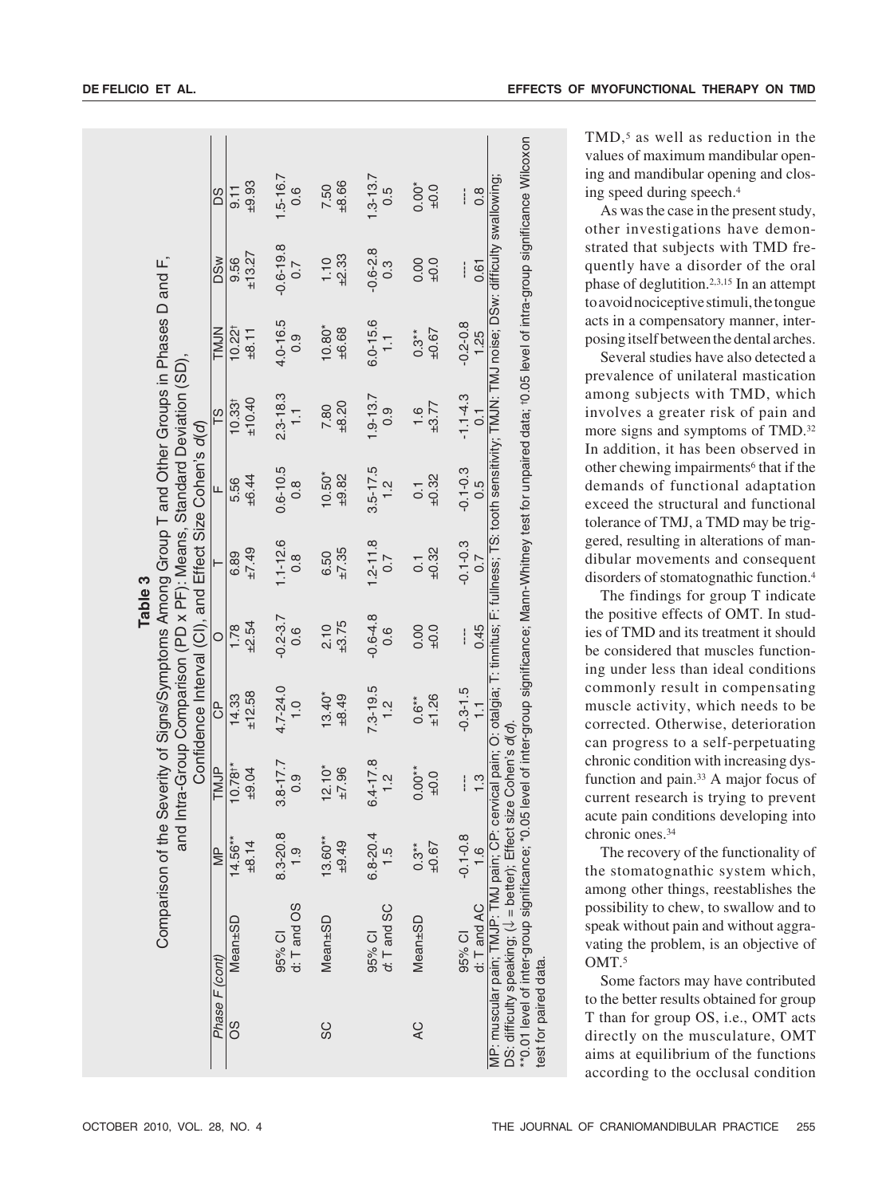|                                                                                                                                                                                      | <b>SQ</b>               | 9.11                                         | $-9.93$ |        | $1.5 - 16.7$<br>0.6   |            | 7.50<br>±8.66          |              | $1.3 - 13.7$<br>0.5   | $0.00*$             |       |                       |                                                                                                                                                                                                                                                                                                                                                   | TMD, <sup>5</sup> as well as reduction in the<br>values of maximum mandibular open-<br>ing and mandibular opening and clos-<br>ing speed during speech. <sup>4</sup><br>As was the case in the present study,<br>other investigations have demon- |
|--------------------------------------------------------------------------------------------------------------------------------------------------------------------------------------|-------------------------|----------------------------------------------|---------|--------|-----------------------|------------|------------------------|--------------|-----------------------|---------------------|-------|-----------------------|---------------------------------------------------------------------------------------------------------------------------------------------------------------------------------------------------------------------------------------------------------------------------------------------------------------------------------------------------|---------------------------------------------------------------------------------------------------------------------------------------------------------------------------------------------------------------------------------------------------|
|                                                                                                                                                                                      | <b>DSw</b>              | $9.56$<br>$± 13.27$                          |         |        | $-0.6 - 19.8$<br>0.7  |            | $1.10$<br>$+2.33$      |              | $-0.6 - 2.8$          |                     |       |                       | ---- --- -0.1-0.3 -0.1-0.3 -1.1-4.3 -0.2-0.8 ----<br>0.45 0.7 0.5 0.1 -0.5 0.1 0.5 0.61 0.8 0.8 0.8 0.8 0.8 0.8 0.8 0.8 0.8                                                                                                                                                                                                                       | strated that subjects with TMD fre-<br>quently have a disorder of the oral<br>phase of deglutition. <sup>2,3,15</sup> In an attempt<br>to avoid nociceptive stimuli, the tongue                                                                   |
|                                                                                                                                                                                      | <b>TMJN</b>             | $10.22^{\dagger}$                            | ±8.11   |        | $4.0 - 16.5$<br>0.9   |            | $10.80*$<br>$±6.68$    |              | $6.0 - 15.6$<br>1.1   | $0.3**$             | ±0.67 |                       |                                                                                                                                                                                                                                                                                                                                                   | acts in a compensatory manner, inter-<br>posing itself between the dental arches.<br>Several studies have also detected a<br>prevalence of unilateral mastication                                                                                 |
| Comparison of the Severity of Signs/Symptoms Among Group T and Other Groups in Phases D and F,<br>: Means, Standard Deviation (SD),<br>Effect Size Cohen's d(d)<br>$\frac{q(q)}{18}$ |                         | 10.33 <sup>†</sup>                           | ±10.40  |        | $2.3 - 18.3$          |            | $7.80$<br>$+8.20$      | $1.9 - 13.7$ | 0.9                   | $1.6$<br>$\pm 3.77$ |       |                       |                                                                                                                                                                                                                                                                                                                                                   | among subjects with TMD, which<br>involves a greater risk of pain and<br>more signs and symptoms of TMD. <sup>32</sup><br>In addition, it has been observed in                                                                                    |
|                                                                                                                                                                                      |                         | $\frac{1}{16}$ $\frac{1}{16}$ $\frac{1}{16}$ |         |        | $0.6 - 10.5$<br>$0.8$ |            | $10.50*$<br>$\pm 9.82$ |              | $3.5 - 17.5$<br>$1.2$ | $\overline{0}$      | ±0.32 |                       |                                                                                                                                                                                                                                                                                                                                                   | other chewing impairments <sup>6</sup> that if the<br>demands of functional adaptation<br>exceed the structural and functional<br>tolerance of TMJ, a TMD may be trig-                                                                            |
| Table 3<br>and                                                                                                                                                                       |                         | $\frac{6.89}{6.89}$                          |         |        | $1.1 - 12.6$<br>0.8   |            | $6.50$<br>$±7.35$      |              | $2 - 11.8$<br>0.7     | $\overline{0}$ .    | ±0.32 |                       |                                                                                                                                                                                                                                                                                                                                                   | gered, resulting in alterations of man-<br>dibular movements and consequent<br>disorders of stomatognathic function. <sup>4</sup><br>The findings for group T indicate                                                                            |
| $(PD \times PF)$<br>$\widetilde{\texttt{G}}$                                                                                                                                         |                         | $1.78$<br>$+2.54$                            |         |        | $-0.2 - 3.7$          |            | $2.10$<br>$\pm 3.75$   |              | $0.6 - 4.8$<br>0.6    | $0.00 + 0.0$        |       |                       |                                                                                                                                                                                                                                                                                                                                                   | the positive effects of OMT. In stud-<br>ies of TMD and its treatment it should<br>be considered that muscles function-<br>ing under less than ideal conditions                                                                                   |
| and Intra-Group Comparison (<br>Confidence Interval<br>P TMJP CP                                                                                                                     |                         | $\frac{14.33}{12.58}$                        |         |        | $4.7 - 24.0$<br>1.0   |            | $13.40*$<br>$\pm 8.49$ |              | $7.3 - 19.5$<br>1.2   | $0.6**$             | ±1.26 | $-0.3 - 1.5$          |                                                                                                                                                                                                                                                                                                                                                   | commonly result in compensating<br>muscle activity, which needs to be<br>corrected. Otherwise, deterioration<br>can progress to a self-perpetuating                                                                                               |
|                                                                                                                                                                                      |                         | $10.78$ <sup>*</sup><br>$\pm$ 9.04           |         |        | $3.8 - 17.7$<br>0.9   |            | $12.10*$<br>$\pm 7.96$ |              | $6.4 - 17.8$<br>$1.2$ | $0.00**$            |       |                       |                                                                                                                                                                                                                                                                                                                                                   | chronic condition with increasing dys-<br>function and pain. <sup>33</sup> A major focus of<br>current research is trying to prevent<br>acute pain conditions developing into                                                                     |
|                                                                                                                                                                                      | $\overline{\mathbb{R}}$ | $14.56**$                                    | ±8.14   |        | $8.3 - 20.8$          | $13.60***$ | $-9.49$                |              | $6.8 - 20.4$<br>1.5   | $0.3**$             | ±0.67 | $-0.1 - 0.8$<br>$1.6$ |                                                                                                                                                                                                                                                                                                                                                   | chronic ones. <sup>34</sup><br>The recovery of the functionality of<br>the stomatognathic system which,<br>among other things, reestablishes the                                                                                                  |
|                                                                                                                                                                                      | (cont)                  | Mean±SD                                      |         | 95% CI | d: T and OS           | Mean±SD    |                        | 95% CI       | $ct$ . T and SC       | Mean±SD             |       | 95% CI<br>d: T and AC | DS: difficulty speaking; (↓ = better); Effect size Cohen's d(d).<br>**0.01 level of inter-group significance; *0.05 level of inter-group significance; Mann-Whitney test for unpaired data; †0.05 level of intra-group significa<br>95% Cl - -0.1-0.8<br>d: T and AC - 1.6<br>MP: muscular pain; TMJP: TMJ pain; CP: cervical pain; O: otalgia; T | possibility to chew, to swallow and to<br>speak without pain and without aggra-<br>vating the problem, is an objective of<br>OMT. <sup>5</sup><br>Some factors may have contributed<br>to the better results obtained for group                   |
|                                                                                                                                                                                      | Phase F                 | 8O                                           |         |        |                       | SC         |                        |              |                       | QV                  |       |                       | test for paired data                                                                                                                                                                                                                                                                                                                              | T than for group OS, i.e., OMT acts<br>directly on the musculature, OMT<br>aims at equilibrium of the functions<br>according to the occlusal condition                                                                                            |
| OCTOBER 2010, VOL. 28, NO. 4                                                                                                                                                         |                         |                                              |         |        |                       |            |                        |              |                       |                     |       |                       |                                                                                                                                                                                                                                                                                                                                                   | THE JOURNAL OF CRANIOMANDIBULAR PRACTICE<br>255                                                                                                                                                                                                   |

TMD,<sup>5</sup> as well as reduction in the values of maximum mandibular opening and mandibular opening and clos-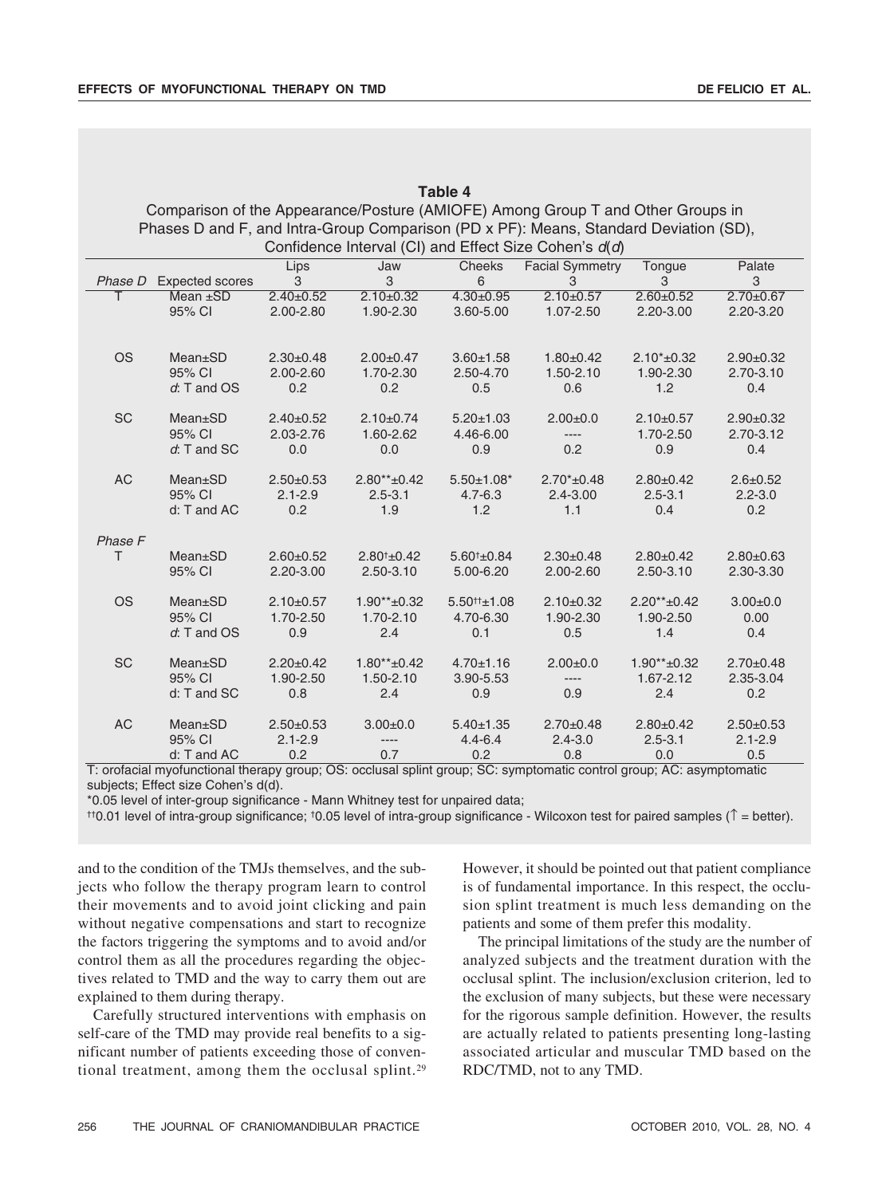|           |                                                                                       |                 |                  | Table 4                        |                                                       |                   |                 |
|-----------|---------------------------------------------------------------------------------------|-----------------|------------------|--------------------------------|-------------------------------------------------------|-------------------|-----------------|
|           | Comparison of the Appearance/Posture (AMIOFE) Among Group T and Other Groups in       |                 |                  |                                |                                                       |                   |                 |
|           | Phases D and F, and Intra-Group Comparison (PD x PF): Means, Standard Deviation (SD), |                 |                  |                                | Confidence Interval (CI) and Effect Size Cohen's d(d) |                   |                 |
|           |                                                                                       | Lips            | Jaw              | <b>Cheeks</b>                  | <b>Facial Symmetry</b>                                | Tongue            | Palate          |
| Phase D   | <b>Expected scores</b>                                                                | 3               | 3                | 6                              | 3                                                     | 3                 | 3               |
| т         | Mean $\pm$ SD                                                                         | $2.40 \pm 0.52$ | $2.10 \pm 0.32$  | $4.30 \pm 0.95$                | $2.10\pm0.57$                                         | $2.60 + 0.52$     | $2.70 \pm 0.67$ |
|           | 95% CI                                                                                | 2.00-2.80       | 1.90-2.30        | 3.60-5.00                      | 1.07-2.50                                             | 2.20-3.00         | 2.20-3.20       |
| <b>OS</b> | $Mean \pm SD$                                                                         | $2.30+0.48$     | $2.00+0.47$      | $3.60 + 1.58$                  | $1.80+0.42$                                           | $2.10*+0.32$      | $2.90+0.32$     |
|           | 95% CI                                                                                | 2.00-2.60       | 1.70-2.30        | 2.50-4.70                      | 1.50-2.10                                             | 1.90-2.30         | $2.70 - 3.10$   |
|           | $d$ : T and $OS$                                                                      | 0.2             | 0.2              | 0.5                            | 0.6                                                   | 1.2               | 0.4             |
| <b>SC</b> | $Mean \pm SD$                                                                         | $2.40 \pm 0.52$ | $2.10+0.74$      | $5.20 \pm 1.03$                | $2.00 \pm 0.0$                                        | $2.10\pm0.57$     | $2.90+0.32$     |
|           | 95% CI                                                                                | 2.03-2.76       | 1.60-2.62        | 4.46-6.00                      | $---$                                                 | 1.70-2.50         | 2.70-3.12       |
|           | $d$ : T and SC                                                                        | 0.0             | 0.0              | 0.9                            | 0.2                                                   | 0.9               | 0.4             |
| <b>AC</b> | <b>Mean</b> ±SD                                                                       | $2.50+0.53$     | $2.80** + 0.42$  | $5.50 \pm 1.08^*$              | $2.70* + 0.48$                                        | $2.80+0.42$       | $2.6 + 0.52$    |
|           | 95% CI                                                                                | $2.1 - 2.9$     | $2.5 - 3.1$      | $4.7 - 6.3$                    | $2.4 - 3.00$                                          | $2.5 - 3.1$       | $2.2 - 3.0$     |
|           | d: T and AC                                                                           | 0.2             | 1.9              | 1.2                            | 1.1                                                   | 0.4               | 0.2             |
| Phase F   |                                                                                       |                 |                  |                                |                                                       |                   |                 |
| T.        | $Mean \pm SD$                                                                         | $2.60 + 0.52$   | $2.80^{+}$ ±0.42 | $5.60$ <sup>+</sup> $\pm$ 0.84 | $2.30+0.48$                                           | $2.80+0.42$       | $2.80 + 0.63$   |
|           | 95% CI                                                                                | 2.20-3.00       | $2.50 - 3.10$    | 5.00-6.20                      | 2.00-2.60                                             | 2.50-3.10         | 2.30-3.30       |
| <b>OS</b> | $Mean \pm SD$                                                                         | $2.10+0.57$     | $1.90**+0.32$    | $5.50^{++1}$ .08               | $2.10+0.32$                                           | $2.20** + 0.42$   | $3.00 + 0.0$    |
|           | 95% CI                                                                                | 1.70-2.50       | 1.70-2.10        | 4.70-6.30                      | 1.90-2.30                                             | 1.90-2.50         | 0.00            |
|           | $d$ : T and OS                                                                        | 0.9             | 2.4              | 0.1                            | 0.5                                                   | 1.4               | 0.4             |
| <b>SC</b> | <b>Mean</b> ±SD                                                                       | $2.20 \pm 0.42$ | $1.80** + 0.42$  | $4.70 \pm 1.16$                | $2.00+0.0$                                            | $1.90** \pm 0.32$ | $2.70+0.48$     |
|           | 95% CI                                                                                | 1.90-2.50       | 1.50-2.10        | 3.90-5.53                      | ----                                                  | 1.67-2.12         | 2.35-3.04       |
|           | d: T and SC                                                                           | 0.8             | 2.4              | 0.9                            | 0.9                                                   | 2.4               | 0.2             |
| <b>AC</b> | <b>Mean</b> ±SD                                                                       | $2.50+0.53$     | $3.00 + 0.0$     | $5.40 \pm 1.35$                | $2.70 \pm 0.48$                                       | $2.80+0.42$       | $2.50+0.53$     |
|           | 95% CI                                                                                | $2.1 - 2.9$     | $-----$          | $4.4 - 6.4$                    | $2.4 - 3.0$                                           | $2.5 - 3.1$       | $2.1 - 2.9$     |
|           | d: T and AC                                                                           | 0.2             | 0.7              | 0.2                            | 0.8                                                   | 0.0               | 0.5             |

T: orofacial myofunctional therapy group; OS: occlusal splint group; SC: symptomatic control group; AC: asymptomatic subjects; Effect size Cohen's d(d).

\*0.05 level of inter-group significance - Mann Whitney test for unpaired data;

††0.01 level of intra-group significance; †0.05 level of intra-group significance - Wilcoxon test for paired samples (↑ = better).

and to the condition of the TMJs themselves, and the subjects who follow the therapy program learn to control their movements and to avoid joint clicking and pain without negative compensations and start to recognize the factors triggering the symptoms and to avoid and/or control them as all the procedures regarding the objectives related to TMD and the way to carry them out are explained to them during therapy.

Carefully structured interventions with emphasis on self-care of the TMD may provide real benefits to a significant number of patients exceeding those of conventional treatment, among them the occlusal splint.29

However, it should be pointed out that patient compliance is of fundamental importance. In this respect, the occlusion splint treatment is much less demanding on the patients and some of them prefer this modality.

The principal limitations of the study are the number of analyzed subjects and the treatment duration with the occlusal splint. The inclusion/exclusion criterion, led to the exclusion of many subjects, but these were necessary for the rigorous sample definition. However, the results are actually related to patients presenting long-lasting associated articular and muscular TMD based on the RDC/TMD, not to any TMD.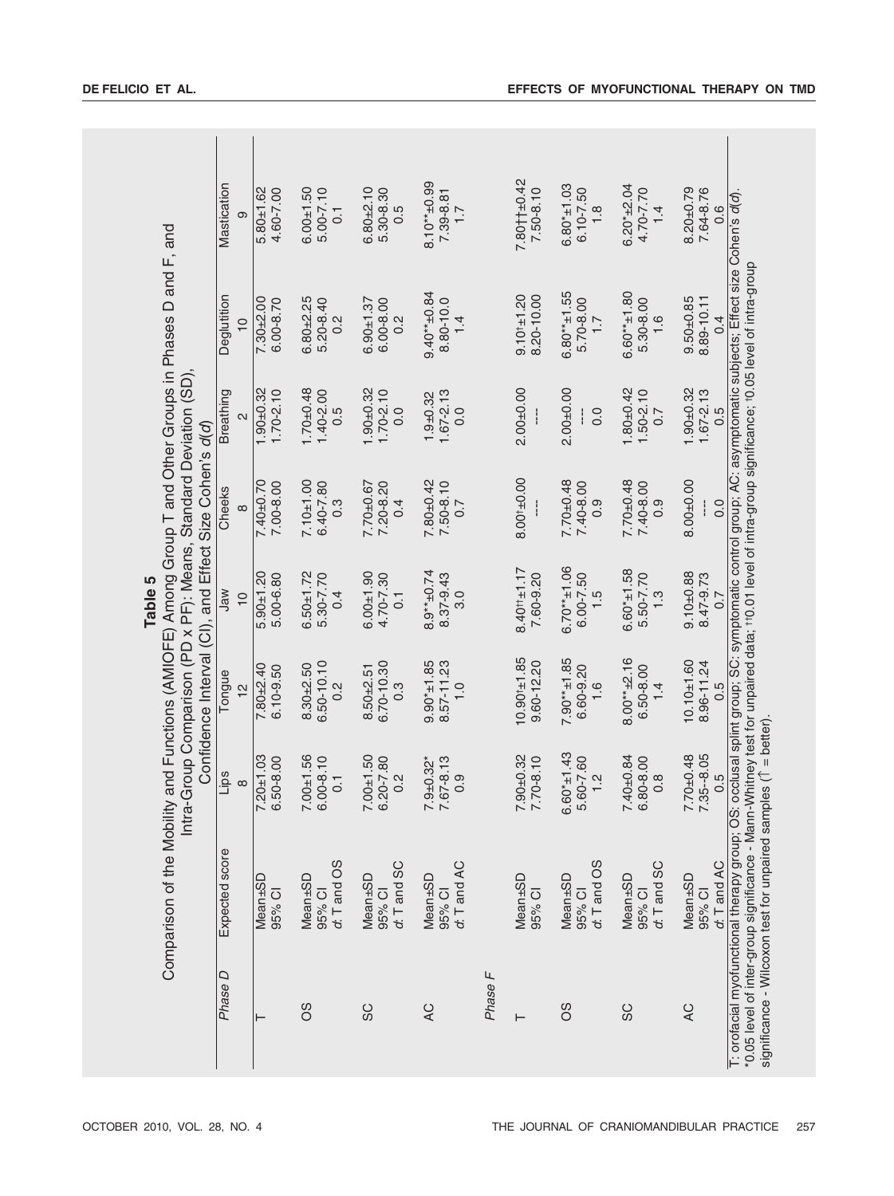| Mastication<br>Comparison of the Mobility and Functions (AMIOFE) Among Group T and Other Groups in Phases D and F, and<br>Deglutition | တ<br>$\frac{1}{2}$ | $5.80 + 1.62$<br>4.60-7.00<br>$7.30 + 2.00$<br>$6.00 - 8.70$ | $6.00 + 1.50$<br>$5.00 - 7.10$<br>$\overline{0}$<br>$6.80 + 2.25$<br>5.20-8.40<br>0.2 | $6.80 + 2.10$<br>5.30-8.30<br>0.5<br>6.00-8.00<br>$6.90 + 1.37$<br>0.2 | $8.10***$ $-0.99$<br>7.39-8.81<br>$\overline{1}$ .<br>$9.40** + 0.84$<br>8.80-10.0<br>1.4 |         | $7.80 + +0.42$<br>7.50-8.10<br>$9.10^{+1.20}$<br>8.20-10.00 | $6.80* + 1.03$<br>$6.10 - 7.50$<br>$\frac{8}{1}$<br>$6.80**+1.55$<br>5.70-8.00<br>$\overline{1}$ . | $6.20*_{\pm}2.04$<br>4.70-7.70<br>$1\overline{4}$<br>$6.60**+1.80$<br>5.30-8.00<br>$-1.6$ | $8.20 + 0.79$<br>7.64-8.76<br>T: orofacial myofunctional therapy group; OS: occlusal splint group; SC: symptomatic control group; AC: asymptomatic subjects; Effect size Cohen's d(d)<br>0.6<br>8.89-10.11<br>$9.50 + 0.85$<br>$\overline{0}$ . |
|---------------------------------------------------------------------------------------------------------------------------------------|--------------------|--------------------------------------------------------------|---------------------------------------------------------------------------------------|------------------------------------------------------------------------|-------------------------------------------------------------------------------------------|---------|-------------------------------------------------------------|----------------------------------------------------------------------------------------------------|-------------------------------------------------------------------------------------------|-------------------------------------------------------------------------------------------------------------------------------------------------------------------------------------------------------------------------------------------------|
| Breathing                                                                                                                             | $\sim$             | $1.90 + 0.32$<br>$1.70 - 2.10$                               | $1.70 + 0.48$<br>$1.40 - 2.00$<br>0.5                                                 | $1.90 + 0.32$<br>$1.70 - 2.10$<br>0.0                                  | $1.67 - 2.13$<br>$1.9 + 0.32$<br>0.0                                                      |         | $2.00 + 0.00$                                               | $2.00 + 0.00$<br>0.0<br>ł                                                                          | $1.80 + 0.42$<br>$1.50 - 2.10$<br>0.7                                                     | $1.90 + 0.32$<br>$1.67 - 2.13$<br>0.5                                                                                                                                                                                                           |
| Confidence Interval (CI), and Effect Size Cohen's d(d)<br>Cheeks                                                                      | $\infty$           | $7.40 + 0.70$<br>7.00-8.00                                   | $7.10 + 1.00$<br>6.40-7.80<br>$0.\overline{3}$                                        | 7.20-8.20<br>7.70±0.67<br>0.4                                          | $7.80 + 0.42$<br>7.50-8.10<br>0.7                                                         |         | $8.00^{+1}$ 0.00                                            | $7.70 + 0.48$<br>7.40-8.00<br>0.9                                                                  | $7.70 + 0.48$<br>7.40-8.00<br>0.9                                                         | $8.00 + 0.00$<br>0.0                                                                                                                                                                                                                            |
| Jaw                                                                                                                                   | $\frac{1}{2}$      | $5.90 + 1.20$<br>5.00-6.80                                   | $6.50 + 1.72$<br>5.30-7.70<br>0.4                                                     | $6.00 + 1.90$<br>4.70-7.30<br>$\overline{0}$ .                         | $8.9**$ $-0.74$<br>8.37-9.43<br>$\overline{3.0}$                                          |         | $8.40 + 1.17$<br>7.60-9.20                                  | $6.70**1.06$<br>$6.00 - 7.50$<br>$\frac{1}{5}$                                                     | $6.60* + 1.58$<br>5.50-7.70<br>$\frac{3}{1}$                                              | $9.10 + 0.88$<br>8.47-9.73<br>0.7                                                                                                                                                                                                               |
| Tongue                                                                                                                                | $\frac{1}{2}$      | $7.80 + 2.40$<br>$6.10 - 9.50$                               | $6.50 - 10.10$<br>$8.30 + 2.50$<br>$\frac{2}{3}$                                      | 6.70-10.30<br>$8.50 + 2.51$<br>$\ddot{0}$ .                            | 8.57-11.23<br>$9.90* + 1.85$<br>$\frac{0}{1}$                                             |         | $10.90^{+1.85}$<br>$9.60 - 12.20$                           | $7.90**+1.85$<br>6.60-9.20<br>$-1.6$                                                               | $8.00***+2.16$<br>6.50-8.00<br>1.4                                                        | $10.10 + 1.60$<br>8.96-11.24<br>0.5                                                                                                                                                                                                             |
| Intra-Group Comparison (PD x PF): Means, Standard Deviation (SD),<br>Lips<br>$\infty$                                                 |                    | $7.20 + 1.03$<br>6.50-8.00                                   | $7.00 + 1.56$<br>$6.00 - 8.10$<br>$\overline{0}$                                      | $7.00 + 1.50$<br>6.20-7.80<br>0.2                                      | 7.67-8.13<br>$7.9 + 0.32*$<br>0.9                                                         |         | $7.90 + 0.32$<br>$7.70 - 8.10$                              | $6.60* \pm 1.43$<br>5.60-7.60<br>$\frac{1}{2}$                                                     | $7.40 + 0.84$<br>6.80-8.00<br>$0.\overline{8}$                                            | 7.35 - 8.05<br>$7.70 + 0.48$<br>0.5                                                                                                                                                                                                             |
| Expected score                                                                                                                        |                    | Mean±SD<br>95% CI                                            | d: T and OS<br>Mean±SD<br>95% CI                                                      | d: T and SC<br>Mean±SD<br>95% CI                                       | d: T and AC<br>Mean±SD<br>95% CI                                                          |         | Mean±SD<br>95% CI                                           | $d$ : T and OS<br>Mean±SD<br>95% CI                                                                | d: T and SC<br>Mean±SD<br>95% CI                                                          | d: T and AC<br>Mean±SD<br>95% CI                                                                                                                                                                                                                |
| Phase D                                                                                                                               |                    |                                                              | SO                                                                                    | SC                                                                     | QV                                                                                        | Phase F | $\vdash$                                                    | 8O                                                                                                 | SC                                                                                        | QV                                                                                                                                                                                                                                              |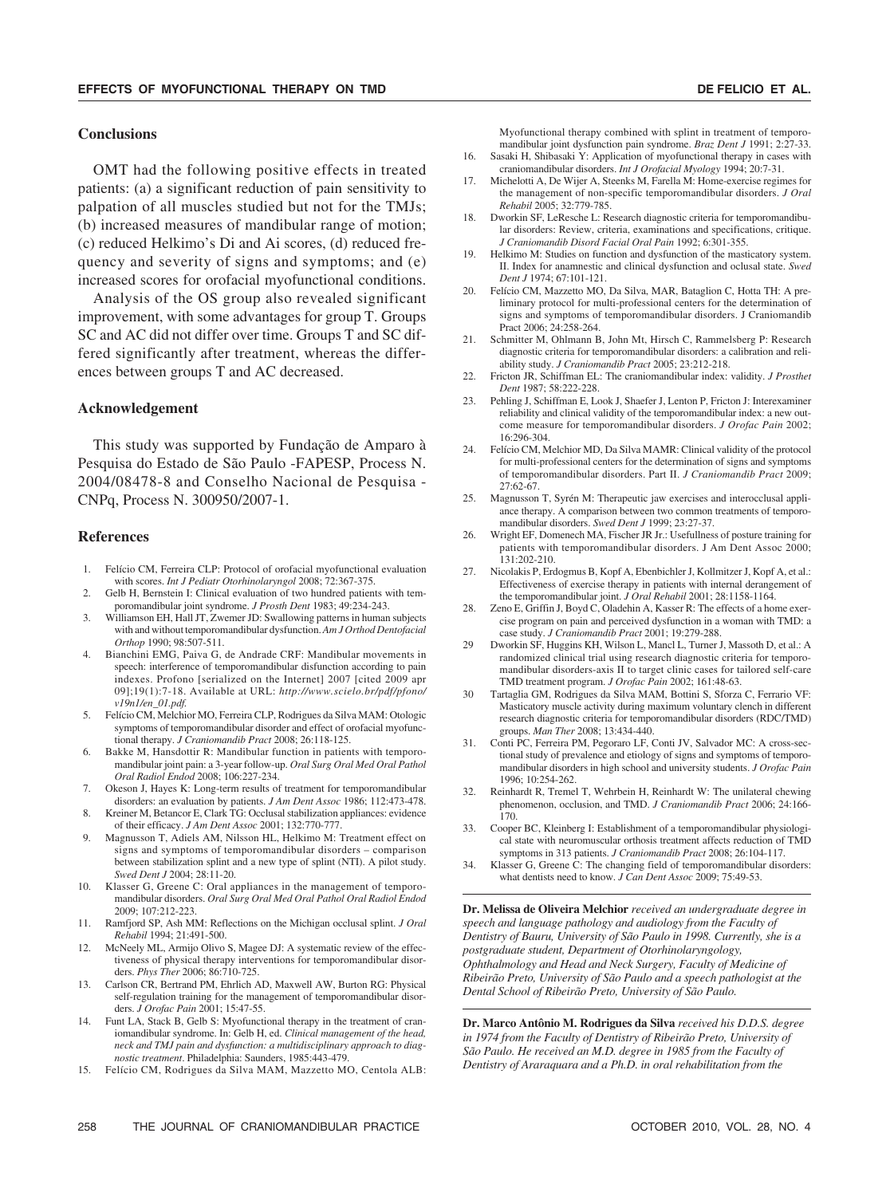#### **Conclusions**

OMT had the following positive effects in treated patients: (a) a significant reduction of pain sensitivity to palpation of all muscles studied but not for the TMJs; (b) increased measures of mandibular range of motion; (c) reduced Helkimo's Di and Ai scores, (d) reduced frequency and severity of signs and symptoms; and (e) increased scores for orofacial myofunctional conditions.

Analysis of the OS group also revealed significant improvement, with some advantages for group T. Groups SC and AC did not differ over time. Groups T and SC differed significantly after treatment, whereas the differences between groups T and AC decreased.

## **Acknowledgement**

This study was supported by Fundação de Amparo à Pesquisa do Estado de São Paulo -FAPESP, Process N. 2004/08478-8 and Conselho Nacional de Pesquisa - CNPq, Process N. 300950/2007-1.

#### **References**

- 1. Felício CM, Ferreira CLP: Protocol of orofacial myofunctional evaluation with scores. *Int J Pediatr Otorhinolaryngol* 2008; 72:367-375.
- 2. Gelb H, Bernstein I: Clinical evaluation of two hundred patients with temporomandibular joint syndrome. *J Prosth Dent* 1983; 49:234-243.
- 3. Williamson EH, Hall JT, Zwemer JD: Swallowing patterns in human subjects with and without temporomandibular dysfunction. *Am J Orthod Dentofacial Orthop* 1990; 98:507-511.
- 4. Bianchini EMG, Paiva G, de Andrade CRF: Mandibular movements in speech: interference of temporomandibular disfunction according to pain indexes. Profono [serialized on the Internet] 2007 [cited 2009 apr 09];19(1):7-18. Available at URL: *http://www.scielo.br/pdf/pfono/ v19n1/en\_01.pdf.*
- 5. Felício CM, Melchior MO, Ferreira CLP, Rodrigues da Silva MAM: Otologic symptoms of temporomandibular disorder and effect of orofacial myofunctional therapy. *J Craniomandib Pract* 2008; 26:118-125.
- 6. Bakke M, Hansdottir R: Mandibular function in patients with temporomandibular joint pain: a 3-year follow-up. *Oral Surg Oral Med Oral Pathol Oral Radiol Endod* 2008; 106:227-234.
- 7. Okeson J, Hayes K: Long-term results of treatment for temporomandibular disorders: an evaluation by patients. *J Am Dent Assoc* 1986; 112:473-478. 8. Kreiner M, Betancor E, Clark TG: Occlusal stabilization appliances: evidence
- of their efficacy. *J Am Dent Assoc* 2001; 132:770-777. 9. Magnusson T, Adiels AM, Nilsson HL, Helkimo M: Treatment effect on
- signs and symptoms of temporomandibular disorders comparison between stabilization splint and a new type of splint (NTI). A pilot study. *Swed Dent J* 2004; 28:11-20.
- 10. Klasser G, Greene C: Oral appliances in the management of temporomandibular disorders. *Oral Surg Oral Med Oral Pathol Oral Radiol Endod* 2009; 107:212-223.
- 11. Ramfjord SP, Ash MM: Reflections on the Michigan occlusal splint. *J Oral Rehabil* 1994; 21:491-500.
- 12. McNeely ML, Armijo Olivo S, Magee DJ: A systematic review of the effectiveness of physical therapy interventions for temporomandibular disorders. *Phys Ther* 2006; 86:710-725.
- 13. Carlson CR, Bertrand PM, Ehrlich AD, Maxwell AW, Burton RG: Physical self-regulation training for the management of temporomandibular disorders. *J Orofac Pain* 2001; 15:47-55.
- 14. Funt LA, Stack B, Gelb S: Myofunctional therapy in the treatment of craniomandibular syndrome. In: Gelb H, ed. *Clinical management of the head, neck and TMJ pain and dysfunction: a multidisciplinary approach to diagnostic treatment*. Philadelphia: Saunders, 1985:443-479.
- 15. Felício CM, Rodrigues da Silva MAM, Mazzetto MO, Centola ALB:

Myofunctional therapy combined with splint in treatment of temporomandibular joint dysfunction pain syndrome. *Braz Dent J* 1991; 2:27-33.

- 16. Sasaki H, Shibasaki Y: Application of myofunctional therapy in cases with craniomandibular disorders. *Int J Orofacial Myology* 1994; 20:7-31.
- 17. Michelotti A, De Wijer A, Steenks M, Farella M: Home-exercise regimes for the management of non-specific temporomandibular disorders. *J Oral Rehabil* 2005; 32:779-785.
- 18. Dworkin SF, LeResche L: Research diagnostic criteria for temporomandibular disorders: Review, criteria, examinations and specifications, critique. *J Craniomandib Disord Facial Oral Pain* 1992; 6:301-355.
- 19. Helkimo M: Studies on function and dysfunction of the masticatory system. II. Index for anamnestic and clinical dysfunction and oclusal state. *Swed Dent J* 1974; 67:101-121.
- 20. Felício CM, Mazzetto MO, Da Silva, MAR, Bataglion C, Hotta TH: A preliminary protocol for multi-professional centers for the determination of signs and symptoms of temporomandibular disorders. J Craniomandib Pract 2006; 24:258-264.
- 21. Schmitter M, Ohlmann B, John Mt, Hirsch C, Rammelsberg P: Research diagnostic criteria for temporomandibular disorders: a calibration and reliability study. *J Craniomandib Pract* 2005; 23:212-218.
- 22. Fricton JR, Schiffman EL: The craniomandibular index: validity. *J Prosthet* Dent 1987: 58:222-228.
- 23. Pehling J, Schiffman E, Look J, Shaefer J, Lenton P, Fricton J: Interexaminer reliability and clinical validity of the temporomandibular index: a new outcome measure for temporomandibular disorders. *J Orofac Pain* 2002; 16:296-304.
- 24. Felício CM, Melchior MD, Da Silva MAMR: Clinical validity of the protocol for multi-professional centers for the determination of signs and symptoms of temporomandibular disorders. Part II. *J Craniomandib Pract* 2009; 27:62-67.
- 25. Magnusson T, Syrén M: Therapeutic jaw exercises and interocclusal appliance therapy. A comparison between two common treatments of temporomandibular disorders. *Swed Dent J* 1999; 23:27-37.
- 26. Wright EF, Domenech MA, Fischer JR Jr.: Usefullness of posture training for patients with temporomandibular disorders. J Am Dent Assoc 2000; 131:202-210.
- 27. Nicolakis P, Erdogmus B, Kopf A, Ebenbichler J, Kollmitzer J, Kopf A, et al.: Effectiveness of exercise therapy in patients with internal derangement of the temporomandibular joint. *J Oral Rehabil* 2001; 28:1158-1164.
- 28. Zeno E, Griffin J, Boyd C, Oladehin A, Kasser R: The effects of a home exercise program on pain and perceived dysfunction in a woman with TMD: a case study. *J Craniomandib Pract* 2001; 19:279-288.
- 29 Dworkin SF, Huggins KH, Wilson L, Mancl L, Turner J, Massoth D, et al.: A randomized clinical trial using research diagnostic criteria for temporomandibular disorders-axis II to target clinic cases for tailored self-care TMD treatment program. *J Orofac Pain* 2002; 161:48-63.
- Tartaglia GM, Rodrigues da Silva MAM, Bottini S, Sforza C, Ferrario VF: Masticatory muscle activity during maximum voluntary clench in different research diagnostic criteria for temporomandibular disorders (RDC/TMD) groups. *Man Ther* 2008; 13:434-440.
- 31. Conti PC, Ferreira PM, Pegoraro LF, Conti JV, Salvador MC: A cross-sectional study of prevalence and etiology of signs and symptoms of temporomandibular disorders in high school and university students. *J Orofac Pain* 1996; 10:254-262.
- 32. Reinhardt R, Tremel T, Wehrbein H, Reinhardt W: The unilateral chewing phenomenon, occlusion, and TMD. *J Craniomandib Pract* 2006; 24:166- 170.
- 33. Cooper BC, Kleinberg I: Establishment of a temporomandibular physiological state with neuromuscular orthosis treatment affects reduction of TMD symptoms in 313 patients. *J Craniomandib Pract* 2008; 26:104-117.
- 34. Klasser G, Greene C: The changing field of temporomandibular disorders: what dentists need to know. *J Can Dent Assoc* 2009; 75:49-53.

**Dr. Melissa de Oliveira Melchior** *received an undergraduate degree in speech and language pathology and audiology from the Faculty of Dentistry of Bauru, University of São Paulo in 1998. Currently, she is a postgraduate student, Department of Otorhinolaryngology, Ophthalmology and Head and Neck Surgery, Faculty of Medicine of Ribeirão Preto, University of São Paulo and a speech pathologist at the Dental School of Ribeirão Preto, University of São Paulo.*

**Dr. Marco Antônio M. Rodrigues da Silva** *received his D.D.S. degree in 1974 from the Faculty of Dentistry of Ribeirão Preto, University of São Paulo. He received an M.D. degree in 1985 from the Faculty of Dentistry of Araraquara and a Ph.D. in oral rehabilitation from the*